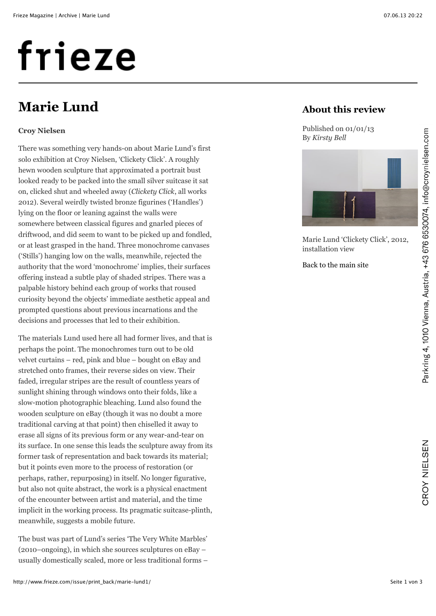# frieze

## **Marie Lund**

## **Croy Nielsen**

There was something very hands-on about Marie Lund's first solo exhibition at Croy Nielsen, 'Clickety Click'. A roughly hewn wooden sculpture that approximated a portrait bust looked ready to be packed into the small silver suitcase it sat on, clicked shut and wheeled away (*Clickety Click*, all works 2012). Several weirdly twisted bronze figurines ('Handles') lying on the floor or leaning against the walls were somewhere between classical figures and gnarled pieces of driftwood, and did seem to want to be picked up and fondled, or at least grasped in the hand. Three monochrome canvases ('Stills') hanging low on the walls, meanwhile, rejected the authority that the word 'monochrome' implies, their surfaces offering instead a subtle play of shaded stripes. There was a palpable history behind each group of works that roused curiosity beyond the objects' immediate aesthetic appeal and prompted questions about previous incarnations and the decisions and processes that led to their exhibition.

The materials Lund used here all had former lives, and that is perhaps the point. The monochromes turn out to be old velvet curtains – red, pink and blue – bought on eBay and stretched onto frames, their reverse sides on view. Their faded, irregular stripes are the result of countless years of sunlight shining through windows onto their folds, like a slow-motion photographic bleaching. Lund also found the wooden sculpture on eBay (though it was no doubt a more traditional carving at that point) then chiselled it away to erase all signs of its previous form or any wear-and-tear on its surface. In one sense this leads the sculpture away from its former task of representation and back towards its material; but it points even more to the process of restoration (or perhaps, rather, repurposing) in itself. No longer figurative, but also not quite abstract, the work is a physical enactment of the encounter between artist and material, and the time implicit in the working process. Its pragmatic suitcase-plinth, meanwhile, suggests a mobile future.

The bust was part of Lund's series 'The Very White Marbles' (2010–ongoing), in which she sources sculptures on eBay – usually domestically scaled, more or less traditional forms –

## **About this review**

Published on 01/01/13 By *Kirsty Bell*



Marie Lund 'Clickety Click', 2012, installation view

[Back to the main site](http://www.frieze.com/issue/review/marie-lund1/)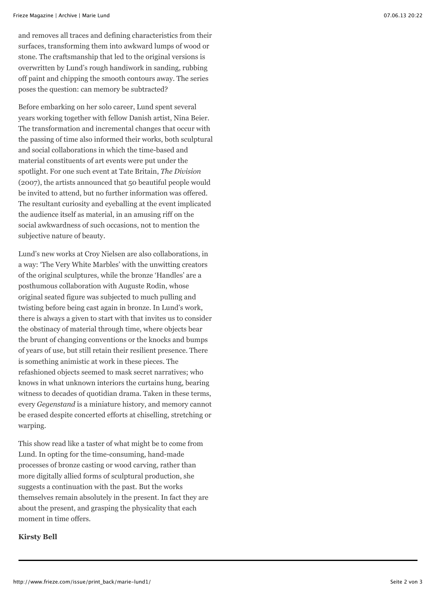and removes all traces and defining characteristics from their surfaces, transforming them into awkward lumps of wood or stone. The craftsmanship that led to the original versions is overwritten by Lund's rough handiwork in sanding, rubbing off paint and chipping the smooth contours away. The series poses the question: can memory be subtracted?

Before embarking on her solo career, Lund spent several years working together with fellow Danish artist, Nina Beier. The transformation and incremental changes that occur with the passing of time also informed their works, both sculptural and social collaborations in which the time-based and material constituents of art events were put under the spotlight. For one such event at Tate Britain, *The Division* (2007), the artists announced that 50 beautiful people would be invited to attend, but no further information was offered. The resultant curiosity and eyeballing at the event implicated the audience itself as material, in an amusing riff on the social awkwardness of such occasions, not to mention the subjective nature of beauty.

Lund's new works at Croy Nielsen are also collaborations, in a way: 'The Very White Marbles' with the unwitting creators of the original sculptures, while the bronze 'Handles' are a posthumous collaboration with Auguste Rodin, whose original seated figure was subjected to much pulling and twisting before being cast again in bronze. In Lund's work, there is always a given to start with that invites us to consider the obstinacy of material through time, where objects bear the brunt of changing conventions or the knocks and bumps of years of use, but still retain their resilient presence. There is something animistic at work in these pieces. The refashioned objects seemed to mask secret narratives; who knows in what unknown interiors the curtains hung, bearing witness to decades of quotidian drama. Taken in these terms, every *Gegenstand* is a miniature history, and memory cannot be erased despite concerted efforts at chiselling, stretching or warping.

This show read like a taster of what might be to come from Lund. In opting for the time-consuming, hand-made processes of bronze casting or wood carving, rather than more digitally allied forms of sculptural production, she suggests a continuation with the past. But the works themselves remain absolutely in the present. In fact they are about the present, and grasping the physicality that each moment in time offers.

### **Kirsty Bell**